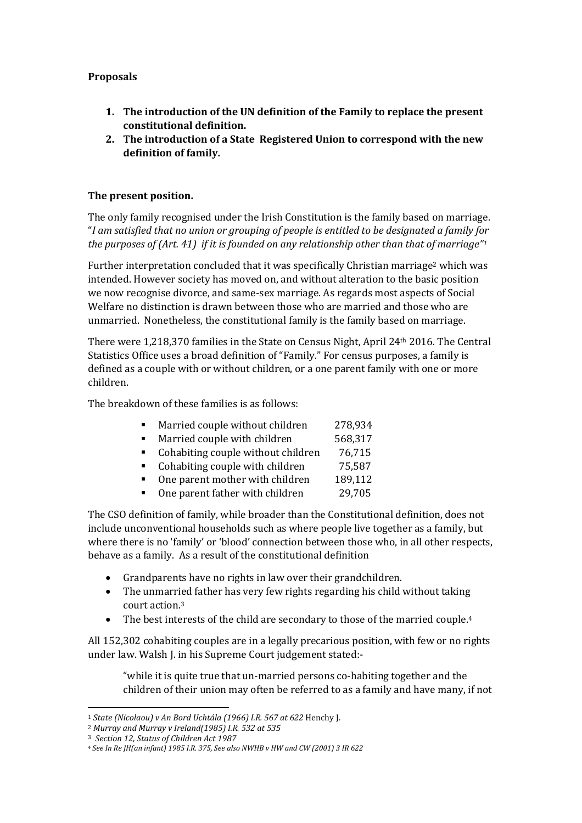## **Proposals**

- **1. The introduction of the UN definition of the Family to replace the present constitutional definition.**
- **2. The introduction of a State Registered Union to correspond with the new definition of family.**

## **The present position.**

The only family recognised under the Irish Constitution is the family based on marriage. "*I am satisfied that no union or grouping of people is entitled to be designated a family for the purposes of (Art. 41) if it is founded on any relationship other than that of marriage"<sup>1</sup>*

Further interpretation concluded that it was specifically Christian marriage<sup>2</sup> which was intended. However society has moved on, and without alteration to the basic position we now recognise divorce, and same-sex marriage. As regards most aspects of Social Welfare no distinction is drawn between those who are married and those who are unmarried. Nonetheless, the constitutional family is the family based on marriage.

There were 1,218,370 families in the State on Census Night, April 24th 2016. The Central Statistics Office uses a broad definition of "Family." For census purposes, a family is defined as a couple with or without children, or a one parent family with one or more children.

The breakdown of these families is as follows:

- Married couple without children 278,934
- Married couple with children 568.317
- Cohabiting couple without children 76,715
- Cohabiting couple with children 75,587
- One parent mother with children 189,112
- One parent father with children 29,705

The CSO definition of family, while broader than the Constitutional definition, does not include unconventional households such as where people live together as a family, but where there is no 'family' or 'blood' connection between those who, in all other respects, behave as a family. As a result of the constitutional definition

- Grandparents have no rights in law over their grandchildren.
- The unmarried father has very few rights regarding his child without taking court action.<sup>3</sup>
- The best interests of the child are secondary to those of the married couple.<sup>4</sup>

All 152,302 cohabiting couples are in a legally precarious position, with few or no rights under law. Walsh J. in his Supreme Court judgement stated:-

"while it is quite true that un-married persons co-habiting together and the children of their union may often be referred to as a family and have many, if not

 $\overline{a}$ 

<sup>1</sup> *State (Nicolaou) v An Bord Uchtála (1966) I.R. 567 at 622* Henchy J.

<sup>2</sup> *Murray and Murray v Ireland(1985) I.R. 532 at 535*

<sup>3</sup> *Section 12, Status of Children Act 1987*

<sup>4</sup> *See In Re JH(an infant) 1985 I.R. 375, See also NWHB v HW and CW (2001) 3 IR 622*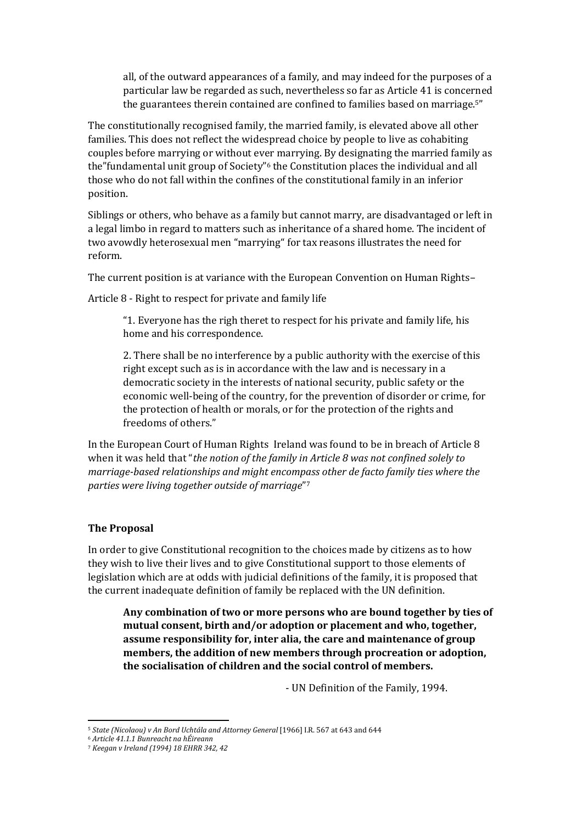all, of the outward appearances of a family, and may indeed for the purposes of a particular law be regarded as such, nevertheless so far as Article 41 is concerned the guarantees therein contained are confined to families based on marriage.5"

The constitutionally recognised family, the married family, is elevated above all other families. This does not reflect the widespread choice by people to live as cohabiting couples before marrying or without ever marrying. By designating the married family as the"fundamental unit group of Society" <sup>6</sup> the Constitution places the individual and all those who do not fall within the confines of the constitutional family in an inferior position.

Siblings or others, who behave as a family but cannot marry, are disadvantaged or left in a legal limbo in regard to matters such as inheritance of a shared home. The incident of two avowdly heterosexual men "marrying" for tax reasons illustrates the need for reform.

The current position is at variance with the European Convention on Human Rights–

Article 8 - Right to respect for private and family life

"1. Everyone has the righ theret to respect for his private and family life, his home and his correspondence.

2. There shall be no interference by a public authority with the exercise of this right except such as is in accordance with the law and is necessary in a democratic society in the interests of national security, public safety or the economic well-being of the country, for the prevention of disorder or crime, for the protection of health or morals, or for the protection of the rights and freedoms of others."

In the European Court of Human Rights Ireland was found to be in breach of Article 8 when it was held that "*the notion of the family in Article 8 was not confined solely to marriage-based relationships and might encompass other de facto family ties where the parties were living together outside of marriage*" 7

## **The Proposal**

In order to give Constitutional recognition to the choices made by citizens as to how they wish to live their lives and to give Constitutional support to those elements of legislation which are at odds with judicial definitions of the family, it is proposed that the current inadequate definition of family be replaced with the UN definition.

**Any combination of two or more persons who are bound together by ties of mutual consent, birth and/or adoption or placement and who, together, assume responsibility for, inter alia, the care and maintenance of group members, the addition of new members through procreation or adoption, the socialisation of children and the social control of members.**

- UN Definition of the Family, 1994.

 $\overline{a}$ 

<sup>5</sup> *State (Nicolaou) v An Bord Uchtála and Attorney General* [1966] I.R. 567 at 643 and 644

<sup>6</sup> *Article 41.1.1 Bunreacht na hÉireann*

<sup>7</sup> *Keegan v Ireland (1994) 18 EHRR 342, 42*